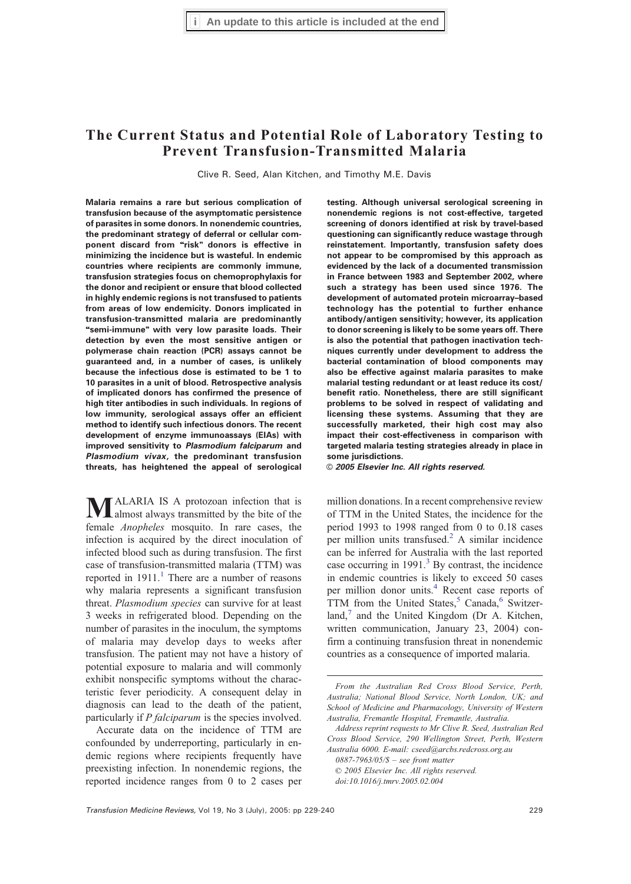# The Current Status and Potential Role of Laboratory Testing to Prevent Transfusion-Transmitted Malaria

Clive R. Seed, Alan Kitchen, and Timothy M.E. Davis

Malaria remains a rare but serious complication of transfusion because of the asymptomatic persistence of parasites in some donors. In nonendemic countries, the predominant strategy of deferral or cellular component discard from "risk" donors is effective in minimizing the incidence but is wasteful. In endemic countries where recipients are commonly immune, transfusion strategies focus on chemoprophylaxis for the donor and recipient or ensure that blood collected in highly endemic regions is not transfused to patients from areas of low endemicity. Donors implicated in transfusion-transmitted malaria are predominantly "semi-immune" with very low parasite loads. Their detection by even the most sensitive antigen or polymerase chain reaction (PCR) assays cannot be guaranteed and, in a number of cases, is unlikely because the infectious dose is estimated to be 1 to 10 parasites in a unit of blood. Retrospective analysis of implicated donors has confirmed the presence of high titer antibodies in such individuals. In regions of low immunity, serological assays offer an efficient method to identify such infectious donors. The recent development of enzyme immunoassays (EIAs) with improved sensitivity to Plasmodium falciparum and Plasmodium vivax, the predominant transfusion threats, has heightened the appeal of serological

**MALARIA IS A protozoan infection that is**<br>almost always transmitted by the bite of the female Anopheles mosquito. In rare cases, the infection is acquired by the direct inoculation of infected blood such as during transfusion. The first case of transfusi[on-tra](#page-10-0)nsmitted malaria (TTM) was reported in  $1911$ .<sup>1</sup> There are a number of reasons why malaria represents a significant transfusion threat. Plasmodium species can survive for at least 3 weeks in refrigerated blood. Depending on the number of parasites in the inoculum, the symptoms of malaria may develop days to weeks after transfusion. The patient may not have a history of potential exposure to malaria and will commonly exhibit nonspecific symptoms without the characteristic fever periodicity. A consequent delay in diagnosis can lead to the death of the patient, particularly if *P falciparum* is the species involved.

Accurate data on the incidence of TTM are confounded by underreporting, particularly in endemic regions where recipients frequently have preexisting infection. In nonendemic regions, the reported incidence ranges from 0 to 2 cases per testing. Although universal serological screening in nonendemic regions is not cost-effective, targeted screening of donors identified at risk by travel-based questioning can significantly reduce wastage through reinstatement. Importantly, transfusion safety does not appear to be compromised by this approach as evidenced by the lack of a documented transmission in France between 1983 and September 2002, where such a strategy has been used since 1976. The development of automated protein microarray–based technology has the potential to further enhance antibody/antigen sensitivity; however, its application to donor screening is likely to be some years off. There is also the potential that pathogen inactivation techniques currently under development to address the bacterial contamination of blood components may also be effective against malaria parasites to make malarial testing redundant or at least reduce its cost/ benefit ratio. Nonetheless, there are still significant problems to be solved in respect of validating and licensing these systems. Assuming that they are successfully marketed, their high cost may also impact their cost-effectiveness in comparison with targeted malaria testing strategies already in place in some jurisdictions.

© 2005 Elsevier Inc. All rights reserved.

million donations. In a recent comprehensive review of TTM in the United States, the incidence for the period 1993 to 1998 rang[ed fro](#page-10-0)m 0 to 0.18 cases per million units transfused.<sup>2</sup> A similar incidence can be inferred for [Australi](#page-10-0)a with the last reported case occurring in  $1991<sup>3</sup>$  By contrast, the incidence in endemic countries is likely to exceed 50 cases per million donor units.<sup>4</sup> Recent ca[se repo](#page-10-0)rts of TT[M fro](#page-10-0)m the United States, $5$  Canada, $6$  Switzerland, $<sup>7</sup>$  and the United Kingdom (Dr A. Kitchen,</sup> written communication, January 23, 2004) confirm a continuing transfusion threat in nonendemic countries as a consequence of imported malaria.

From the Australian Red Cross Blood Service, Perth, Australia; National Blood Service, North London, UK; and School of Medicine and Pharmacology, University of Western Australia, Fremantle Hospital, Fremantle, Australia.

Address reprint requests to Mr Clive R. Seed, Australian Red Cross Blood Service, 290 Wellington Street, Perth, Western Australia 6000. E-mail: cseed@arcbs.redcross.org.au

<sup>0887-7963/05/\$ –</sup> see front matter

 $\odot$  2005 Elsevier Inc. All rights reserved.

doi:10.1016/j.tmrv.2005.02.004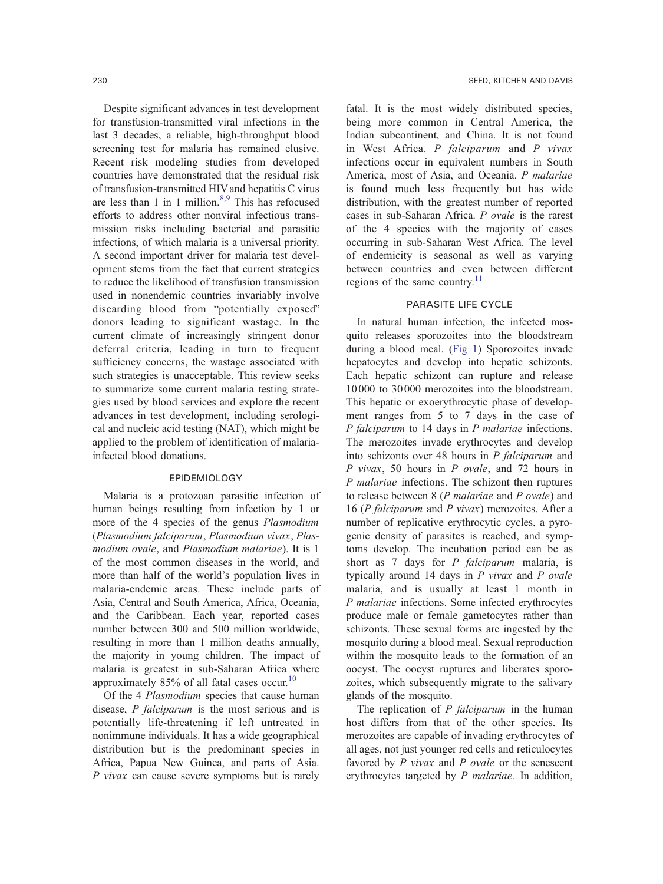Despite significant advances in test development for transfusion-transmitted viral infections in the last 3 decades, a reliable, high-throughput blood screening test for malaria has remained elusive. Recent risk modeling studies from developed countries have demonstrated that the residual risk of transfusion-transmitted [HIV an](#page-10-0)d hepatitis C virus are less than 1 in 1 million. $8,9$  This has refocused efforts to address other nonviral infectious transmission risks including bacterial and parasitic infections, of which malaria is a universal priority. A second important driver for malaria test development stems from the fact that current strategies to reduce the likelihood of transfusion transmission used in nonendemic countries invariably involve discarding blood from "potentially exposed" donors leading to significant wastage. In the current climate of increasingly stringent donor deferral criteria, leading in turn to frequent sufficiency concerns, the wastage associated with such strategies is unacceptable. This review seeks to summarize some current malaria testing strategies used by blood services and explore the recent advances in test development, including serological and nucleic acid testing (NAT), which might be applied to the problem of identification of malariainfected blood donations.

#### EPIDEMIOLOGY

Malaria is a protozoan parasitic infection of human beings resulting from infection by 1 or more of the 4 species of the genus *Plasmodium* (Plasmodium falciparum, Plasmodium vivax, Plasmodium ovale, and Plasmodium malariae). It is 1 of the most common diseases in the world, and more than half of the world's population lives in malaria-endemic areas. These include parts of Asia, Central and South America, Africa, Oceania, and the Caribbean. Each year, reported cases number between 300 and 500 million worldwide, resulting in more than 1 million deaths annually, the majority in young children. The impact of malaria is greatest in sub-Saharan Afric[a wh](#page-10-0)ere approximately 85% of all fatal cases occur.<sup>10</sup>

Of the 4 Plasmodium species that cause human disease, *P falciparum* is the most serious and is potentially life-threatening if left untreated in nonimmune individuals. It has a wide geographical distribution but is the predominant species in Africa, Papua New Guinea, and parts of Asia. P vivax can cause severe symptoms but is rarely

fatal. It is the most widely distributed species, being more common in Central America, the Indian subcontinent, and China. It is not found in West Africa.  $P$  falciparum and  $P$  vivax infections occur in equivalent numbers in South America, most of Asia, and Oceania. P malariae is found much less frequently but has wide distribution, with the greatest number of reported cases in sub-Saharan Africa. P ovale is the rarest of the 4 species with the majority of cases occurring in sub-Saharan West Africa. The level of endemicity is seasonal as well as varying between countries and even between different regions of the same country. $^{11}$  $^{11}$  $^{11}$ 

## PARASITE LIFE CYCLE

In natural human infection, the infected mosquito releases sporozoites into the bloodstream during a blood meal. [\(Fig](#page-2-0) [1](#page-2-0)) Sporozoites invade hepatocytes and develop into hepatic schizonts. Each hepatic schizont can rupture and release 10 000 to 30 000 merozoites into the bloodstream. This hepatic or exoerythrocytic phase of development ranges from 5 to 7 days in the case of P falciparum to 14 days in P malariae infections. The merozoites invade erythrocytes and develop into schizonts over 48 hours in P falciparum and P vivax, 50 hours in P ovale, and 72 hours in P malariae infections. The schizont then ruptures to release between 8 (P malariae and P ovale) and 16 ( $P$  falciparum and  $P$  vivax) merozoites. After a number of replicative erythrocytic cycles, a pyrogenic density of parasites is reached, and symptoms develop. The incubation period can be as short as 7 days for *P falciparum* malaria, is typically around 14 days in  $P$  vivax and  $P$  ovale malaria, and is usually at least 1 month in P malariae infections. Some infected erythrocytes produce male or female gametocytes rather than schizonts. These sexual forms are ingested by the mosquito during a blood meal. Sexual reproduction within the mosquito leads to the formation of an oocyst. The oocyst ruptures and liberates sporozoites, which subsequently migrate to the salivary glands of the mosquito.

The replication of  $P$  falciparum in the human host differs from that of the other species. Its merozoites are capable of invading erythrocytes of all ages, not just younger red cells and reticulocytes favored by  $P$  vivax and  $P$  ovale or the senescent erythrocytes targeted by P malariae. In addition,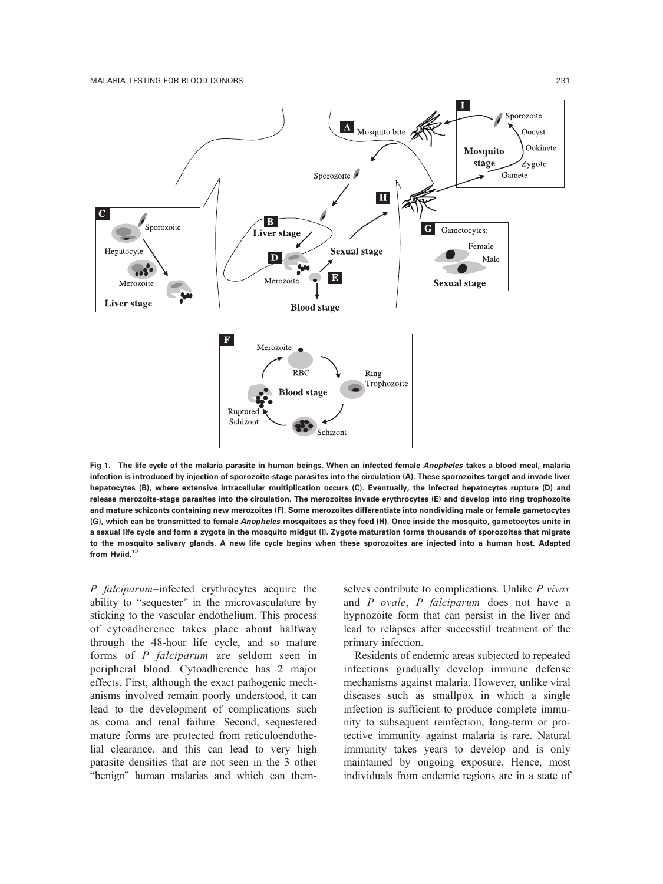<span id="page-2-0"></span>

Fig 1. The life cycle of the malaria parasite in human beings. When an infected female Anopheles takes a blood meal, malaria infection is introduced by injection of sporozoite-stage parasites into the circulation (A). These sporozoites target and invade liver hepatocytes (B), where extensive intracellular multiplication occurs (C). Eventually, the infected hepatocytes rupture (D) and release merozoite-stage parasites into the circulation. The merozoites invade erythrocytes (E) and develop into ring trophozoite and mature schizonts containing new merozoites (F). Some merozoites differentiate into nondividing male or female gametocytes (G), which can be transmitted to female Anopheles mosquitoes as they feed (H). Once inside the mosquito, gametocytes unite in a sexual life cycle and form a zygote in the mosquito midgut (I). Zygote maturation forms thousands of sporozoites that migrate to the m[osqui](#page-10-0)to salivary glands. A new life cycle begins when these sporozoites are injected into a human host. Adapted from Hviid.<sup>12</sup>

P falciparum–infected erythrocytes acquire the ability to "sequester" in the microvasculature by sticking to the vascular endothelium. This process of cytoadherence takes place about halfway through the 48-hour life cycle, and so mature forms of P falciparum are seldom seen in peripheral blood. Cytoadherence has 2 major effects. First, although the exact pathogenic mechanisms involved remain poorly understood, it can lead to the development of complications such as coma and renal failure. Second, sequestered mature forms are protected from reticuloendothelial clearance, and this can lead to very high parasite densities that are not seen in the 3 other "benign" human malarias and which can them-

selves contribute to complications. Unlike P vivax and  $P$  ovale,  $P$  falciparum does not have a hypnozoite form that can persist in the liver and lead to relapses after successful treatment of the primary infection.

Residents of endemic areas subjected to repeated infections gradually develop immune defense mechanisms against malaria. However, unlike viral diseases such as smallpox in which a single infection is sufficient to produce complete immunity to subsequent reinfection, long-term or protective immunity against malaria is rare. Natural immunity takes years to develop and is only maintained by ongoing exposure. Hence, most individuals from endemic regions are in a state of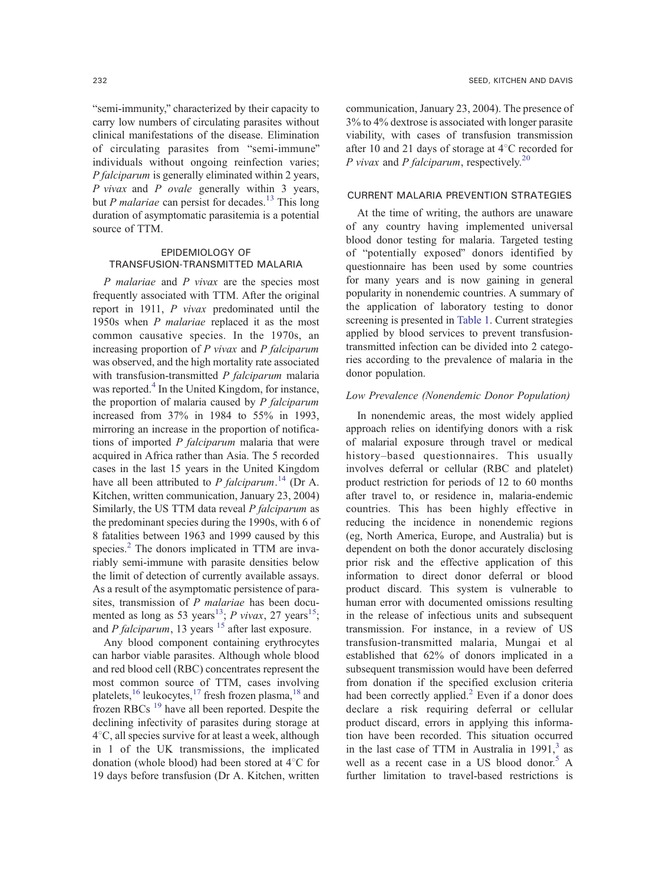"semi-immunity," characterized by their capacity to carry low numbers of circulating parasites without clinical manifestations of the disease. Elimination of circulating parasites from "semi-immune" individuals without ongoing reinfection varies; P falciparum is generally eliminated within 2 years, P vivax and P ovale generally wi[thin 3](#page-10-0) years, but *P malariae* can persist for decades.<sup>13</sup> This long duration of asymptomatic parasitemia is a potential source of TTM.

#### EPIDEMIOLOGY OF TRANSFUSION-TRANSMITTED MALARIA

P malariae and P vivax are the species most frequently associated with TTM. After the original report in 1911, P vivax predominated until the 1950s when P malariae replaced it as the most common causative species. In the 1970s, an increasing proportion of  $P$  vivax and  $P$  falciparum was observed, and the high mortality rate associated with trans[fusion](#page-10-0)-transmitted P falciparum malaria was reported. $4$  In the United Kingdom, for instance, the proportion of malaria caused by  $P$  falciparum increased from 37% in 1984 to 55% in 1993, mirroring an increase in the proportion of notifications of imported *P falciparum* malaria that were acquired in Africa rather than Asia. The 5 recorded cases in the last 15 years in the United [Kin](#page-10-0)gdom have all been attributed to P falciparum.<sup>14</sup> (Dr A. Kitchen, written communication, January 23, 2004) Similarly, the US TTM data reveal P falciparum as the predominant species during the 1990s, with 6 of 8 fa[talities](#page-10-0) between 1963 and 1999 caused by this species. $2$  The donors implicated in TTM are invariably semi-immune with parasite densities below the limit of detection of currently available assays. As a result of the asymptomatic persistence of parasites, transmission of P [malari](#page-10-0)ae has been [docu](#page-10-0)mented as long as 53 years<sup>13</sup>; *P vivax*, 27 years<sup>15</sup>; and *P falciparum*, 13 years  $15$  after last exposure.

Any blood component containing erythrocytes can harbor viable parasites. Although whole blood and red blood cell (RBC) concentrates represent the most [comm](#page-10-0)on sour[ce of](#page-10-0) TTM, cases in[volvi](#page-10-0)ng platelets,<sup>16</sup> le[ukoc](#page-10-0)ytes,<sup>17</sup> fresh frozen plasma,<sup>18</sup> and frozen RBCs<sup>19</sup> have all been reported. Despite the declining infectivity of parasites during storage at  $4^{\circ}$ C, all species survive for at least a week, although in 1 of the UK transmissions, the implicated donation (whole blood) had been stored at  $4^{\circ}$ C for 19 days before transfusion (Dr A. Kitchen, written

communication, January 23, 2004). The presence of 3% to 4% dextrose is associated with longer parasite viability, with cases of transfusion transmission after 10 and 21 days of storage at  $4^{\circ}$ C recorded for P vivax and P falciparum, respectively.<sup>[20](#page-10-0)</sup>

### CURRENT MALARIA PREVENTION STRATEGIES

At the time of writing, the authors are unaware of any country having implemented universal blood donor testing for malaria. Targeted testing of "potentially exposed" donors identified by questionnaire has been used by some countries for many years and is now gaining in general popularity in nonendemic countries. A summary of the application of laboratory testing to donor screening is presented in [Table](#page-4-0) [1](#page-4-0). Current strategies applied by blood services to prevent transfusiontransmitted infection can be divided into 2 categories according to the prevalence of malaria in the donor population.

#### Low Prevalence (Nonendemic Donor Population)

In nonendemic areas, the most widely applied approach relies on identifying donors with a risk of malarial exposure through travel or medical history–based questionnaires. This usually involves deferral or cellular (RBC and platelet) product restriction for periods of 12 to 60 months after travel to, or residence in, malaria-endemic countries. This has been highly effective in reducing the incidence in nonendemic regions (eg, North America, Europe, and Australia) but is dependent on both the donor accurately disclosing prior risk and the effective application of this information to direct donor deferral or blood product discard. This system is vulnerable to human error with documented omissions resulting in the release of infectious units and subsequent transmission. For instance, in a review of US transfusion-transmitted malaria, Mungai et al established that 62% of donors implicated in a subsequent transmission would have been deferred from donation if the specified exclusion criteria had been correctly applied. $<sup>2</sup>$  $<sup>2</sup>$  $<sup>2</sup>$  Even if a donor does</sup> declare a risk requiring deferral or cellular product discard, errors in applying this information have been recorded. This situation occurred in the last case of TTM in Australia in  $1991<sup>3</sup>$  $1991<sup>3</sup>$  $1991<sup>3</sup>$  as well as a recent case in a US blood donor.<sup>[5](#page-10-0)</sup> A further limitation to travel-based restrictions is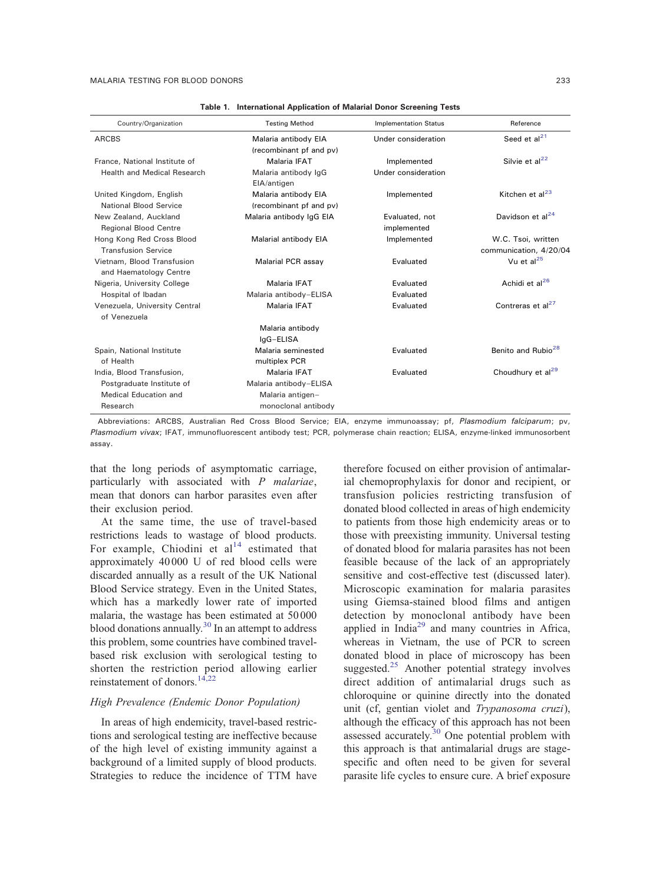<span id="page-4-0"></span>

| Country/Organization               | <b>Testing Method</b>    |                              | Reference                      |
|------------------------------------|--------------------------|------------------------------|--------------------------------|
|                                    |                          | <b>Implementation Status</b> |                                |
| <b>ARCBS</b>                       | Malaria antibody EIA     | Under consideration          | Seed et al <sup>21</sup>       |
|                                    | (recombinant pf and pv)  |                              |                                |
| France, National Institute of      | Malaria IFAT             | Implemented                  | Silvie et al $^{22}$           |
| <b>Health and Medical Research</b> | Malaria antibody IgG     | Under consideration          |                                |
|                                    | EIA/antigen              |                              |                                |
| United Kingdom, English            | Malaria antibody EIA     | Implemented                  | Kitchen et al $^{23}$          |
| National Blood Service             | (recombinant pf and pv)  |                              |                                |
| New Zealand, Auckland              | Malaria antibody IgG EIA | Evaluated, not               | Davidson et al <sup>24</sup>   |
| <b>Regional Blood Centre</b>       |                          | implemented                  |                                |
| Hong Kong Red Cross Blood          | Malarial antibody EIA    | Implemented                  | W.C. Tsoi, written             |
| <b>Transfusion Service</b>         |                          |                              | communication, 4/20/04         |
| Vietnam, Blood Transfusion         | Malarial PCR assay       | Evaluated                    | Vu et al $^{25}$               |
| and Haematology Centre             |                          |                              |                                |
| Nigeria, University College        | Malaria IFAT             | Evaluated                    | Achidi et al <sup>26</sup>     |
| Hospital of Ibadan                 | Malaria antibody-ELISA   | Evaluated                    |                                |
| Venezuela, University Central      | Malaria IFAT             | Evaluated                    | Contreras et al <sup>27</sup>  |
| of Venezuela                       |                          |                              |                                |
|                                    | Malaria antibody         |                              |                                |
|                                    | lgG-ELISA                |                              |                                |
| Spain, National Institute          | Malaria seminested       | Evaluated                    | Benito and Rubio <sup>28</sup> |
| of Health                          | multiplex PCR            |                              |                                |
| India, Blood Transfusion,          | Malaria IFAT             | Evaluated                    | Choudhury et al <sup>29</sup>  |
| Postgraduate Institute of          | Malaria antibody-ELISA   |                              |                                |
| Medical Education and              | Malaria antigen-         |                              |                                |
| Research                           | monoclonal antibody      |                              |                                |

Table 1. International Application of Malarial Donor Screening Tests

Abbreviations: ARCBS, Australian Red Cross Blood Service; EIA, enzyme immunoassay; pf, Plasmodium falciparum; pv, Plasmodium vivax; IFAT, immunofluorescent antibody test; PCR, polymerase chain reaction; ELISA, enzyme-linked immunosorbent assay.

that the long periods of asymptomatic carriage, particularly with associated with P malariae, mean that donors can harbor parasites even after their exclusion period.

At the same time, the use of travel-based restrictions leads to wastage [of blo](#page-10-0)od products. For example, Chiodini et  $al<sup>14</sup>$  estimated that approximately 40 000 U of red blood cells were discarded annually as a result of the UK National Blood Service strategy. Even in the United States, which has a markedly lower rate of imported malaria, the wastage h[as bee](#page-10-0)n estimated at 50 000 blood donations annually.<sup>30</sup> In an attempt to address this problem, some countries have combined travelbased risk exclusion with serological testing to shorten the restrictio[n peri](#page-10-0)od allowing earlier reinstatement of donors.  $14,22$ 

## High Prevalence (Endemic Donor Population)

In areas of high endemicity, travel-based restrictions and serological testing are ineffective because of the high level of existing immunity against a background of a limited supply of blood products. Strategies to reduce the incidence of TTM have

therefore focused on either provision of antimalarial chemoprophylaxis for donor and recipient, or transfusion policies restricting transfusion of donated blood collected in areas of high endemicity to patients from those high endemicity areas or to those with preexisting immunity. Universal testing of donated blood for malaria parasites has not been feasible because of the lack of an appropriately sensitive and cost-effective test (discussed later). Microscopic examination for malaria parasites using Giemsa-stained blood films and antigen detection by [mono](#page-10-0)clonal antibody have been applied in India<sup>29</sup> and many countries in Africa, whereas in Vietnam, the use of PCR to screen donated [bloo](#page-10-0)d in place of microscopy has been suggested.<sup>25</sup> Another potential strategy involves direct addition of antimalarial drugs such as chloroquine or quinine directly into the donated unit (cf, gentian violet and Trypanosoma cruzi), although the effica[cy of](#page-10-0) this approach has not been assessed accurately.<sup>30</sup> One potential problem with this approach is that antimalarial drugs are stagespecific and often need to be given for several parasite life cycles to ensure cure. A brief exposure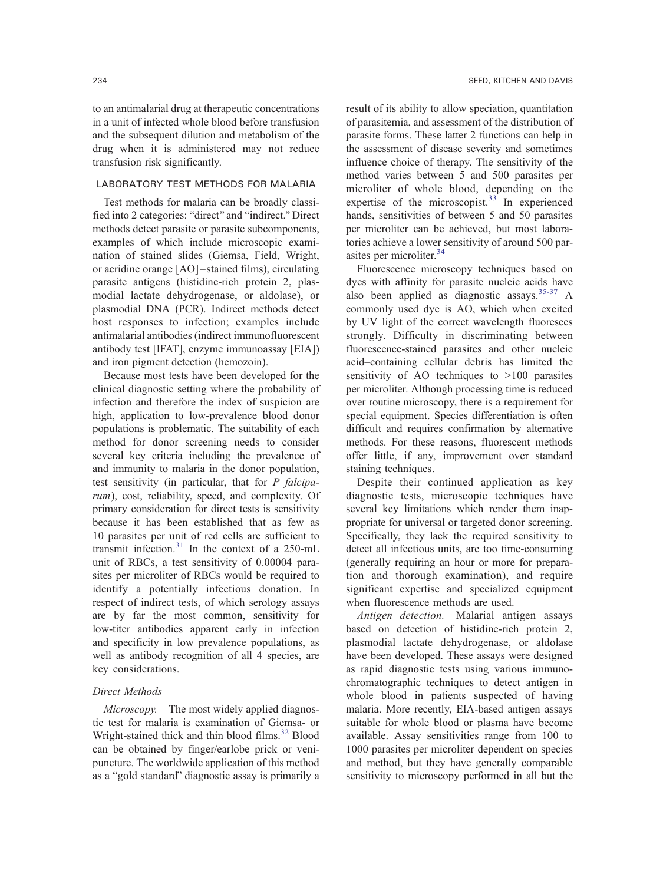to an antimalarial drug at therapeutic concentrations in a unit of infected whole blood before transfusion and the subsequent dilution and metabolism of the drug when it is administered may not reduce transfusion risk significantly.

### LABORATORY TEST METHODS FOR MALARIA

Test methods for malaria can be broadly classified into 2 categories: "direct" and "indirect." Direct methods detect parasite or parasite subcomponents, examples of which include microscopic examination of stained slides (Giemsa, Field, Wright, or acridine orange [AO] – stained films), circulating parasite antigens (histidine-rich protein 2, plasmodial lactate dehydrogenase, or aldolase), or plasmodial DNA (PCR). Indirect methods detect host responses to infection; examples include antimalarial antibodies (indirect immunofluorescent antibody test [IFAT], enzyme immunoassay [EIA]) and iron pigment detection (hemozoin).

Because most tests have been developed for the clinical diagnostic setting where the probability of infection and therefore the index of suspicion are high, application to low-prevalence blood donor populations is problematic. The suitability of each method for donor screening needs to consider several key criteria including the prevalence of and immunity to malaria in the donor population, test sensitivity (in particular, that for P falciparum), cost, reliability, speed, and complexity. Of primary consideration for direct tests is sensitivity because it has been established that as few as 10 parasites per [unit](#page-10-0) of red cells are sufficient to transmit infection. $31$  In the context of a 250-mL unit of RBCs, a test sensitivity of 0.00004 parasites per microliter of RBCs would be required to identify a potentially infectious donation. In respect of indirect tests, of which serology assays are by far the most common, sensitivity for low-titer antibodies apparent early in infection and specificity in low prevalence populations, as well as antibody recognition of all 4 species, are key considerations.

#### Direct Methods

Microscopy. The most widely applied diagnostic test for malaria is examination of [Giemsa](#page-10-0)- or Wright-stained thick and thin blood films. $32$  Blood can be obtained by finger/earlobe prick or venipuncture. The worldwide application of this method as a "gold standard" diagnostic assay is primarily a result of its ability to allow speciation, quantitation of parasitemia, and assessment of the distribution of parasite forms. These latter 2 functions can help in the assessment of disease severity and sometimes influence choice of therapy. The sensitivity of the method varies between 5 and 500 parasites per microliter of whole blood, depending on the expertise of the microscopist. $33$  In experienced hands, sensitivities of between 5 and 50 parasites per microliter can be achieved, but most laboratories achieve a lower sensitivity of around 500 par-asites per microliter.<sup>[34](#page-10-0)</sup>

Fluorescence microscopy techniques based on dyes with affinity for parasite nucleic acids have also been applied as diagnostic assays.<sup>[35-37](#page-10-0)</sup> A commonly used dye is AO, which when excited by UV light of the correct wavelength fluoresces strongly. Difficulty in discriminating between fluorescence-stained parasites and other nucleic acid–containing cellular debris has limited the sensitivity of AO techniques to  $>100$  parasites per microliter. Although processing time is reduced over routine microscopy, there is a requirement for special equipment. Species differentiation is often difficult and requires confirmation by alternative methods. For these reasons, fluorescent methods offer little, if any, improvement over standard staining techniques.

Despite their continued application as key diagnostic tests, microscopic techniques have several key limitations which render them inappropriate for universal or targeted donor screening. Specifically, they lack the required sensitivity to detect all infectious units, are too time-consuming (generally requiring an hour or more for preparation and thorough examination), and require significant expertise and specialized equipment when fluorescence methods are used.

Antigen detection. Malarial antigen assays based on detection of histidine-rich protein 2, plasmodial lactate dehydrogenase, or aldolase have been developed. These assays were designed as rapid diagnostic tests using various immunochromatographic techniques to detect antigen in whole blood in patients suspected of having malaria. More recently, EIA-based antigen assays suitable for whole blood or plasma have become available. Assay sensitivities range from 100 to 1000 parasites per microliter dependent on species and method, but they have generally comparable sensitivity to microscopy performed in all but the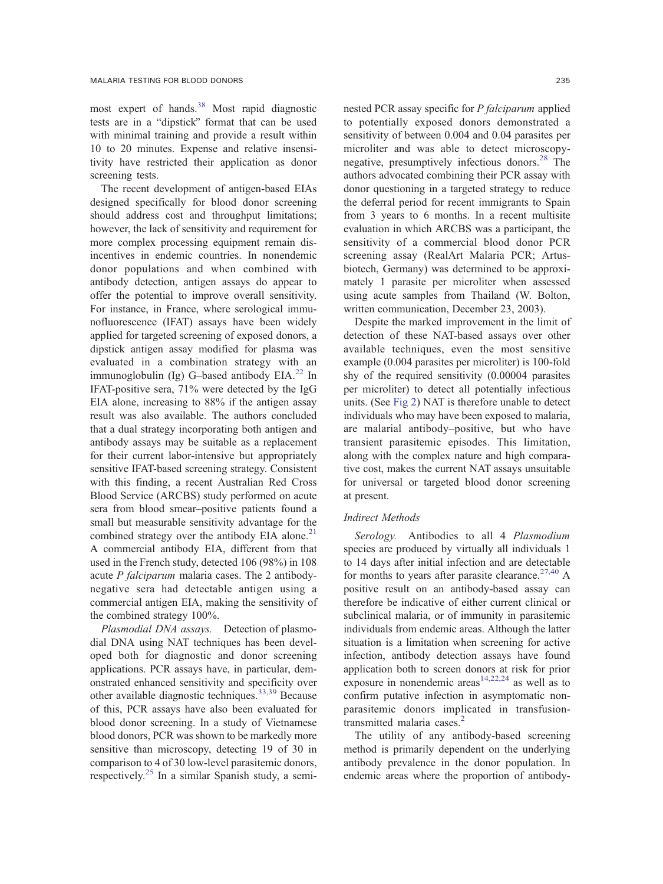most expert of han[ds.](#page-10-0)<sup>38</sup> Most rapid diagnostic tests are in a "dipstick" format that can be used with minimal training and provide a result within 10 to 20 minutes. Expense and relative insensitivity have restricted their application as donor screening tests.

The recent development of antigen-based EIAs designed specifically for blood donor screening should address cost and throughput limitations; however, the lack of sensitivity and requirement for more complex processing equipment remain disincentives in endemic countries. In nonendemic donor populations and when combined with antibody detection, antigen assays do appear to offer the potential to improve overall sensitivity. For instance, in France, where serological immunofluorescence (IFAT) assays have been widely applied for targeted screening of exposed donors, a dipstick antigen assay modified for plasma was evaluated in a combination strategy w[ith a](#page-10-0)n immunoglobulin (Ig) G-based antibody  $EIA<sup>22</sup>$  In IFAT-positive sera, 71% were detected by the IgG EIA alone, increasing to 88% if the antigen assay result was also available. The authors concluded that a dual strategy incorporating both antigen and antibody assays may be suitable as a replacement for their current labor-intensive but appropriately sensitive IFAT-based screening strategy. Consistent with this finding, a recent Australian Red Cross Blood Service (ARCBS) study performed on acute sera from blood smear–positive patients found a small but measurable sensitivity advantage for [the](#page-10-0) combined strategy over the antibody EIA alone. $21$ A commercial antibody EIA, different from that used in the French study, detected 106 (98%) in 108 acute P falciparum malaria cases. The 2 antibodynegative sera had detectable antigen using a commercial antigen EIA, making the sensitivity of the combined strategy 100%.

Plasmodial DNA assays. Detection of plasmodial DNA using NAT techniques has been developed both for diagnostic and donor screening applications. PCR assays have, in particular, demonstrated enhanced sensitivity and specificity over other available diagnostic techniques.<sup>[33,39](#page-10-0)</sup> Because of this, PCR assays have also been evaluated for blood donor screening. In a study of Vietnamese blood donors, PCR was shown to be markedly more sensitive than microscopy, detecting 19 of 30 in compariso[n to 4](#page-10-0) of 30 low-level parasitemic donors, respectively.<sup>25</sup> In a similar Spanish study, a semi-

nested PCR assay specific for P falciparum applied to potentially exposed donors demonstrated a sensitivity of between 0.004 and 0.04 parasites per microliter and was able to detect mic[roscop](#page-10-0)ynegative, presumptively infectious donors.<sup>28</sup> The authors advocated combining their PCR assay with donor questioning in a targeted strategy to reduce the deferral period for recent immigrants to Spain from 3 years to 6 months. In a recent multisite evaluation in which ARCBS was a participant, the sensitivity of a commercial blood donor PCR screening assay (RealArt Malaria PCR; Artusbiotech, Germany) was determined to be approximately 1 parasite per microliter when assessed using acute samples from Thailand (W. Bolton, written communication, December 23, 2003).

Despite the marked improvement in the limit of detection of these NAT-based assays over other available techniques, even the most sensitive example (0.004 parasites per microliter) is 100-fold shy of the required sensitivity (0.00004 parasites per microliter) to detect all potentially infectious units. (See [Fig](#page-7-0) [2\)](#page-7-0) NAT is therefore unable to detect individuals who may have been exposed to malaria, are malarial antibody–positive, but who have transient parasitemic episodes. This limitation, along with the complex nature and high comparative cost, makes the current NAT assays unsuitable for universal or targeted blood donor screening at present.

#### Indirect Methods

Serology. Antibodies to all 4 Plasmodium species are produced by virtually all individuals 1 to 14 days after initial infection and are detectable for months to years after parasite clearance.<sup>[27,40](#page-10-0)</sup> A positive result on an antibody-based assay can therefore be indicative of either current clinical or subclinical malaria, or of immunity in parasitemic individuals from endemic areas. Although the latter situation is a limitation when screening for active infection, antibody detection assays have found application both to screen donors at risk for prior exposure in nonendemic areas $14,22,24$  $14,22,24$  as well as to confirm putative infection in asymptomatic nonparasitemic donors i[mplic](#page-10-0)ated in transfusiontransmitted malaria cases. $<sup>2</sup>$ </sup>

The utility of any antibody-based screening method is primarily dependent on the underlying antibody prevalence in the donor population. In endemic areas where the proportion of antibody-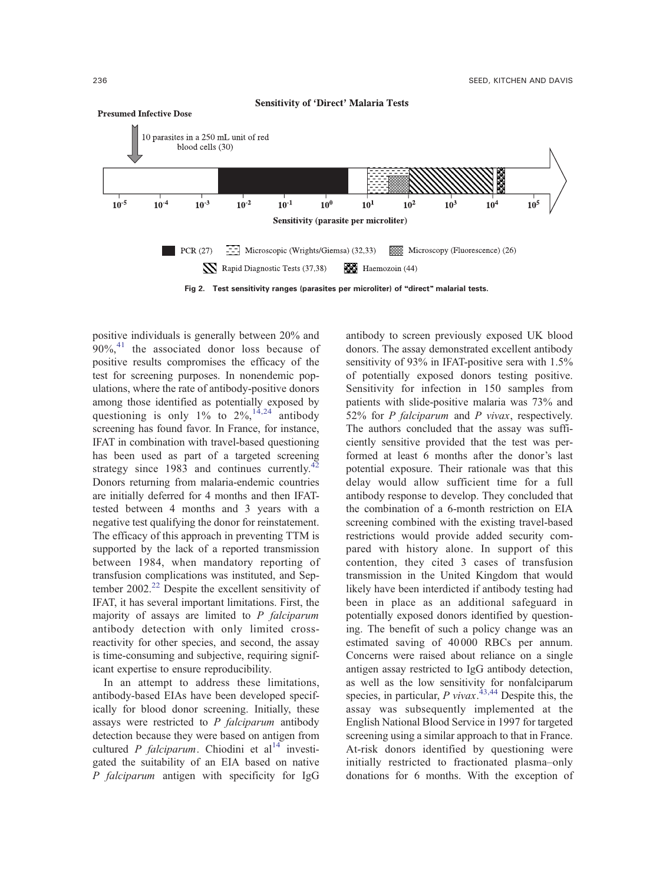#### **Sensitivity of 'Direct' Malaria Tests**

<span id="page-7-0"></span>

po[sitive](#page-11-0) individuals is generally between 20% and  $90\%$ <sup>41</sup>, the associated donor loss because of positive results compromises the efficacy of the test for screening purposes. In nonendemic populations, where the rate of antibody-positive donors among those identified as potentially exposed by questioning is only  $1\%$  to  $2\%$ ,  $14,24$  antibody screening has found favor. In France, for instance, IFAT in combination with travel-based questioning has been used as part of a targeted screen[ing](#page-11-0) strategy since  $1983$  and continues currently.<sup>42</sup> Donors returning from malaria-endemic countries are initially deferred for 4 months and then IFATtested between 4 months and 3 years with a negative test qualifying the donor for reinstatement. The efficacy of this approach in preventing TTM is supported by the lack of a reported transmission between 1984, when mandatory reporting of transfusion [comp](#page-10-0)lications was instituted, and September 2002.<sup>22</sup> Despite the excellent sensitivity of IFAT, it has several important limitations. First, the majority of assays are limited to  $P$  falciparum antibody detection with only limited crossreactivity for other species, and second, the assay is time-consuming and subjective, requiring significant expertise to ensure reproducibility.

In an attempt to address these limitations, antibody-based EIAs have been developed specifically for blood donor screening. Initially, these assays were restricted to  $P$  falciparum antibody detection because they were based on [antige](#page-10-0)n from cultured *P falciparum*. Chiodini et al<sup>14</sup> investigated the suitability of an EIA based on native P falciparum antigen with specificity for IgG

antibody to screen previously exposed UK blood donors. The assay demonstrated excellent antibody sensitivity of 93% in IFAT-positive sera with 1.5% of potentially exposed donors testing positive. Sensitivity for infection in 150 samples from patients with slide-positive malaria was 73% and 52% for P falciparum and P vivax, respectively. The authors concluded that the assay was sufficiently sensitive provided that the test was performed at least 6 months after the donor's last potential exposure. Their rationale was that this delay would allow sufficient time for a full antibody response to develop. They concluded that the combination of a 6-month restriction on EIA screening combined with the existing travel-based restrictions would provide added security compared with history alone. In support of this contention, they cited 3 cases of transfusion transmission in the United Kingdom that would likely have been interdicted if antibody testing had been in place as an additional safeguard in potentially exposed donors identified by questioning. The benefit of such a policy change was an estimated saving of 40 000 RBCs per annum. Concerns were raised about reliance on a single antigen assay restricted to IgG antibody detection, as well as the low sensitivity for nonfalciparum species, in particular, P vivax.<sup>[43,44](#page-11-0)</sup> Despite this, the assay was subsequently implemented at the English National Blood Service in 1997 for targeted screening using a similar approach to that in France. At-risk donors identified by questioning were initially restricted to fractionated plasma–only donations for 6 months. With the exception of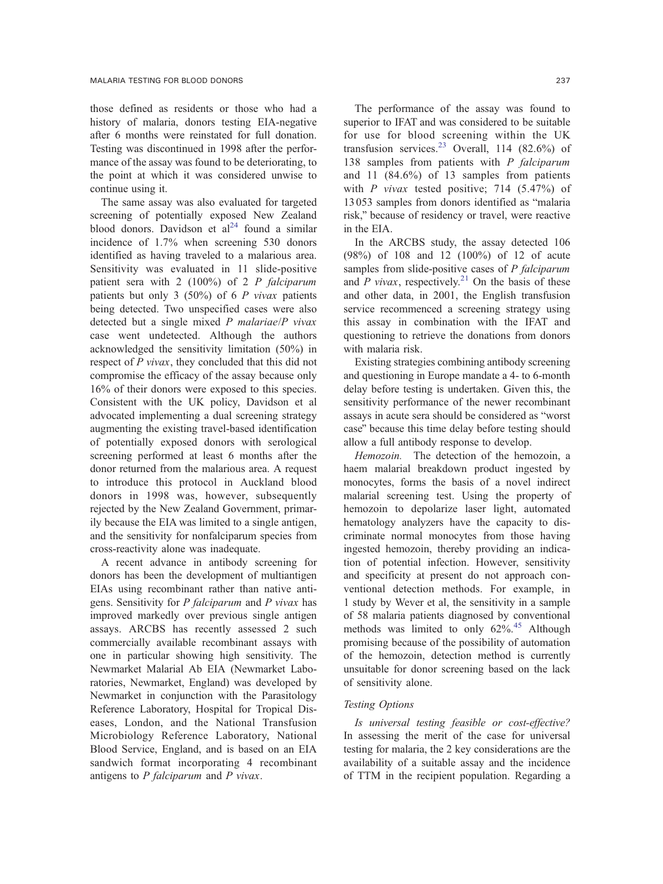those defined as residents or those who had a history of malaria, donors testing EIA-negative after 6 months were reinstated for full donation. Testing was discontinued in 1998 after the performance of the assay was found to be deteriorating, to the point at which it was considered unwise to continue using it.

The same assay was also evaluated for targeted screening of potentially ex[posed](#page-10-0) New Zealand blood donors. Davidson et  $al<sup>24</sup>$  found a similar incidence of 1.7% when screening 530 donors identified as having traveled to a malarious area. Sensitivity was evaluated in 11 slide-positive patient sera with 2 (100%) of 2  $P$  falciparum patients but only 3 (50%) of 6 P vivax patients being detected. Two unspecified cases were also detected but a single mixed P malariae/P vivax case went undetected. Although the authors acknowledged the sensitivity limitation (50%) in respect of P vivax, they concluded that this did not compromise the efficacy of the assay because only 16% of their donors were exposed to this species. Consistent with the UK policy, Davidson et al advocated implementing a dual screening strategy augmenting the existing travel-based identification of potentially exposed donors with serological screening performed at least 6 months after the donor returned from the malarious area. A request to introduce this protocol in Auckland blood donors in 1998 was, however, subsequently rejected by the New Zealand Government, primarily because the EIA was limited to a single antigen, and the sensitivity for nonfalciparum species from cross-reactivity alone was inadequate.

A recent advance in antibody screening for donors has been the development of multiantigen EIAs using recombinant rather than native antigens. Sensitivity for  $P$  falciparum and  $P$  vivax has improved markedly over previous single antigen assays. ARCBS has recently assessed 2 such commercially available recombinant assays with one in particular showing high sensitivity. The Newmarket Malarial Ab EIA (Newmarket Laboratories, Newmarket, England) was developed by Newmarket in conjunction with the Parasitology Reference Laboratory, Hospital for Tropical Diseases, London, and the National Transfusion Microbiology Reference Laboratory, National Blood Service, England, and is based on an EIA sandwich format incorporating 4 recombinant antigens to P falciparum and P vivax.

The performance of the assay was found to superior to IFAT and was considered to be suitable for use for bloo[d sc](#page-10-0)reening within the UK transfusion services.<sup>23</sup> Overall, 114 (82.6%) of 138 samples from patients with  $P$  falciparum and 11 (84.6%) of 13 samples from patients with  $P$  vivax tested positive; 714 (5.47%) of 13 053 samples from donors identified as "malaria risk," because of residency or travel, were reactive in the EIA.

In the ARCBS study, the assay detected 106 (98%) of 108 and 12 (100%) of 12 of acute samples from slide-posit[ive ca](#page-10-0)ses of P falciparum and P vivax, respectively.<sup>21</sup> On the basis of these and other data, in 2001, the English transfusion service recommenced a screening strategy using this assay in combination with the IFAT and questioning to retrieve the donations from donors with malaria risk.

Existing strategies combining antibody screening and questioning in Europe mandate a 4- to 6-month delay before testing is undertaken. Given this, the sensitivity performance of the newer recombinant assays in acute sera should be considered as "worst case" because this time delay before testing should allow a full antibody response to develop.

Hemozoin. The detection of the hemozoin, a haem malarial breakdown product ingested by monocytes, forms the basis of a novel indirect malarial screening test. Using the property of hemozoin to depolarize laser light, automated hematology analyzers have the capacity to discriminate normal monocytes from those having ingested hemozoin, thereby providing an indication of potential infection. However, sensitivity and specificity at present do not approach conventional detection methods. For example, in 1 study by Wever et al, the sensitivity in a sample of 58 malaria patients diagnosed b[y con](#page-11-0)ventional methods was limited to only  $62\%$ <sup>45</sup> Although promising because of the possibility of automation of the hemozoin, detection method is currently unsuitable for donor screening based on the lack of sensitivity alone.

#### Testing Options

Is universal testing feasible or cost-effective? In assessing the merit of the case for universal testing for malaria, the 2 key considerations are the availability of a suitable assay and the incidence of TTM in the recipient population. Regarding a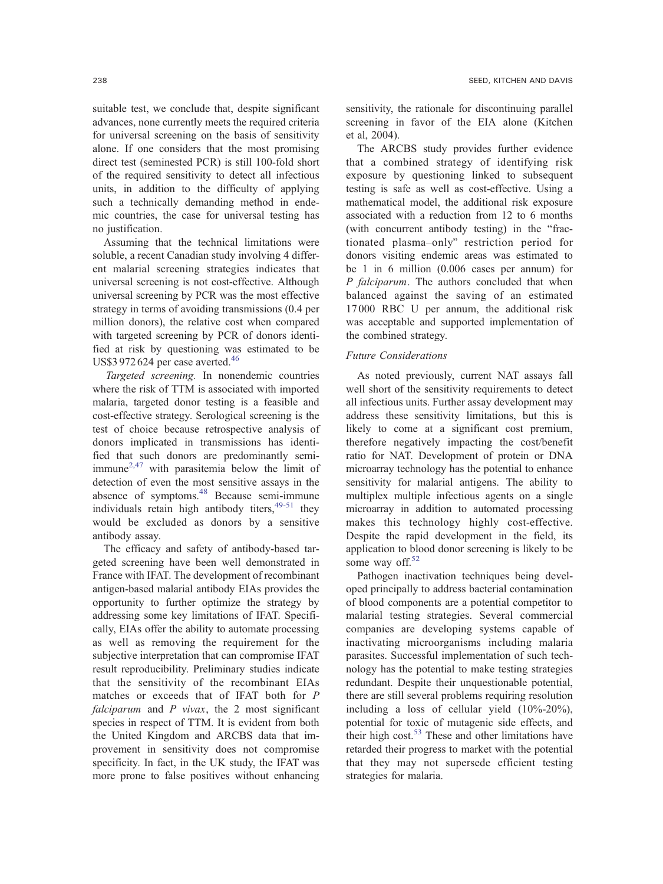suitable test, we conclude that, despite significant advances, none currently meets the required criteria for universal screening on the basis of sensitivity alone. If one considers that the most promising direct test (seminested PCR) is still 100-fold short of the required sensitivity to detect all infectious units, in addition to the difficulty of applying such a technically demanding method in endemic countries, the case for universal testing has no justification.

Assuming that the technical limitations were soluble, a recent Canadian study involving 4 different malarial screening strategies indicates that universal screening is not cost-effective. Although universal screening by PCR was the most effective strategy in terms of avoiding transmissions (0.4 per million donors), the relative cost when compared with targeted screening by PCR of donors identified at risk by questioning [was e](#page-11-0)stimated to be US\$3972624 per case averted.<sup>46</sup>

Targeted screening. In nonendemic countries where the risk of TTM is associated with imported malaria, targeted donor testing is a feasible and cost-effective strategy. Serological screening is the test of choice because retrospective analysis of donors implicated in transmissions has identified that such donors are predominantly semi-immune<sup>[2,47](#page-10-0)</sup> with parasitemia below the limit of detection of even th[e most](#page-11-0) sensitive assays in the absence of symptoms.<sup>48</sup> Because semi-immune individuals retain high antibody titers,  $49-51$  they would be excluded as donors by a sensitive antibody assay.

The efficacy and safety of antibody-based targeted screening have been well demonstrated in France with IFAT. The development of recombinant antigen-based malarial antibody EIAs provides the opportunity to further optimize the strategy by addressing some key limitations of IFAT. Specifically, EIAs offer the ability to automate processing as well as removing the requirement for the subjective interpretation that can compromise IFAT result reproducibility. Preliminary studies indicate that the sensitivity of the recombinant EIAs matches or exceeds that of IFAT both for P falciparum and  $P$  vivax, the 2 most significant species in respect of TTM. It is evident from both the United Kingdom and ARCBS data that improvement in sensitivity does not compromise specificity. In fact, in the UK study, the IFAT was more prone to false positives without enhancing

sensitivity, the rationale for discontinuing parallel screening in favor of the EIA alone (Kitchen et al, 2004).

The ARCBS study provides further evidence that a combined strategy of identifying risk exposure by questioning linked to subsequent testing is safe as well as cost-effective. Using a mathematical model, the additional risk exposure associated with a reduction from 12 to 6 months (with concurrent antibody testing) in the "fractionated plasma-only" restriction period for donors visiting endemic areas was estimated to be 1 in 6 million (0.006 cases per annum) for P falciparum. The authors concluded that when balanced against the saving of an estimated 17 000 RBC U per annum, the additional risk was acceptable and supported implementation of the combined strategy.

#### Future Considerations

As noted previously, current NAT assays fall well short of the sensitivity requirements to detect all infectious units. Further assay development may address these sensitivity limitations, but this is likely to come at a significant cost premium, therefore negatively impacting the cost/benefit ratio for NAT. Development of protein or DNA microarray technology has the potential to enhance sensitivity for malarial antigens. The ability to multiplex multiple infectious agents on a single microarray in addition to automated processing makes this technology highly cost-effective. Despite the rapid development in the field, its application to blood donor screening is likely to be some way off.<sup>[52](#page-11-0)</sup>

Pathogen inactivation techniques being developed principally to address bacterial contamination of blood components are a potential competitor to malarial testing strategies. Several commercial companies are developing systems capable of inactivating microorganisms including malaria parasites. Successful implementation of such technology has the potential to make testing strategies redundant. Despite their unquestionable potential, there are still several problems requiring resolution including a loss of cellular yield (10%-20%), potential for toxic of mutagenic side effects, and their high cost. $53$  These and other limitations have retarded their progress to market with the potential that they may not supersede efficient testing strategies for malaria.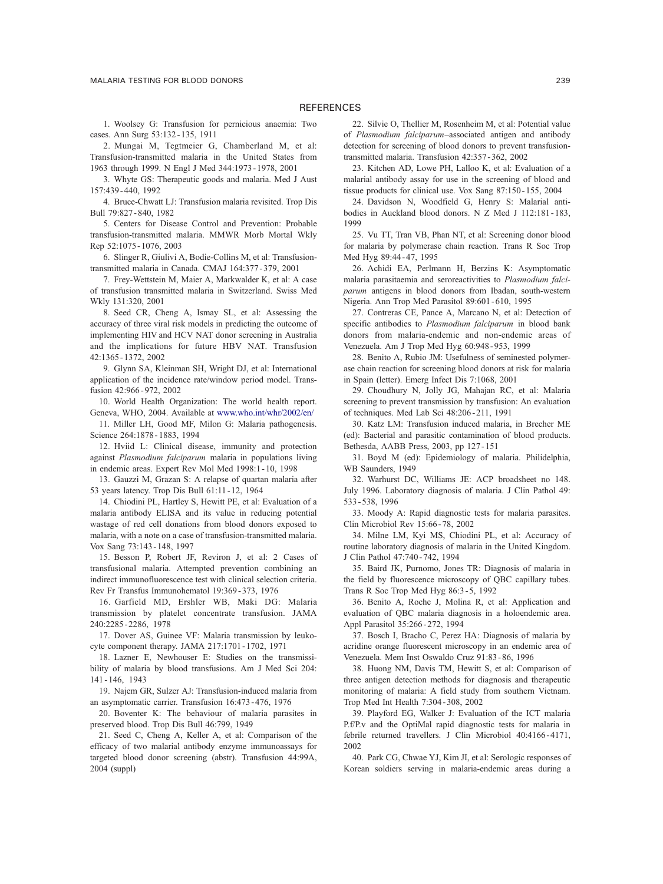#### **REFERENCES**

<span id="page-10-0"></span>1. Woolsey G: Transfusion for pernicious anaemia: Two cases. Ann Surg 53:132 - 135, 1911

2. Mungai M, Tegtmeier G, Chamberland M, et al: Transfusion-transmitted malaria in the United States from 1963 through 1999. N Engl J Med 344:1973 - 1978, 2001

3. Whyte GS: Therapeutic goods and malaria. Med J Aust 157:439 - 440, 1992

4. Bruce-Chwatt LJ: Transfusion malaria revisited. Trop Dis Bull 79:827 - 840, 1982

5. Centers for Disease Control and Prevention: Probable transfusion-transmitted malaria. MMWR Morb Mortal Wkly Rep 52:1075 - 1076, 2003

6. Slinger R, Giulivi A, Bodie-Collins M, et al: Transfusiontransmitted malaria in Canada. CMAJ 164:377 - 379, 2001

7. Frey-Wettstein M, Maier A, Markwalder K, et al: A case of transfusion transmitted malaria in Switzerland. Swiss Med Wkly 131:320, 2001

8. Seed CR, Cheng A, Ismay SL, et al: Assessing the accuracy of three viral risk models in predicting the outcome of implementing HIV and HCV NAT donor screening in Australia and the implications for future HBV NAT. Transfusion 42:1365 - 1372, 2002

9. Glynn SA, Kleinman SH, Wright DJ, et al: International application of the incidence rate/window period model. Transfusion 42:966 - 972, 2002

10. World Health Organization: The world health report. Geneva, WHO, 2004. Available at [www.who.int/whr/2002/en](http://www.who.int/whr/2002/en/)/

11. Miller LH, Good MF, Milon G: Malaria pathogenesis. Science 264:1878 - 1883, 1994

12. Hviid L: Clinical disease, immunity and protection against Plasmodium falciparum malaria in populations living in endemic areas. Expert Rev Mol Med 1998:1 - 10, 1998

13. Gauzzi M, Grazan S: A relapse of quartan malaria after 53 years latency. Trop Dis Bull 61:11 - 12, 1964

14. Chiodini PL, Hartley S, Hewitt PE, et al: Evaluation of a malaria antibody ELISA and its value in reducing potential wastage of red cell donations from blood donors exposed to malaria, with a note on a case of transfusion-transmitted malaria. Vox Sang 73:143 - 148, 1997

15. Besson P, Robert JF, Reviron J, et al: 2 Cases of transfusional malaria. Attempted prevention combining an indirect immunofluorescence test with clinical selection criteria. Rev Fr Transfus Immunohematol 19:369 - 373, 1976

16. Garfield MD, Ershler WB, Maki DG: Malaria transmission by platelet concentrate transfusion. JAMA 240:2285 - 2286, 1978

17. Dover AS, Guinee VF: Malaria transmission by leukocyte component therapy. JAMA 217:1701 - 1702, 1971

18. Lazner E, Newhouser E: Studies on the transmissibility of malaria by blood transfusions. Am J Med Sci 204: 141 - 146, 1943

19. Najem GR, Sulzer AJ: Transfusion-induced malaria from an asymptomatic carrier. Transfusion 16:473 - 476, 1976

20. Boventer K: The behaviour of malaria parasites in preserved blood. Trop Dis Bull 46:799, 1949

21. Seed C, Cheng A, Keller A, et al: Comparison of the efficacy of two malarial antibody enzyme immunoassays for targeted blood donor screening (abstr). Transfusion 44:99A, 2004 (suppl)

22. Silvie O, Thellier M, Rosenheim M, et al: Potential value of Plasmodium falciparum–associated antigen and antibody detection for screening of blood donors to prevent transfusiontransmitted malaria. Transfusion 42:357 - 362, 2002

23. Kitchen AD, Lowe PH, Lalloo K, et al: Evaluation of a malarial antibody assay for use in the screening of blood and tissue products for clinical use. Vox Sang 87:150 - 155, 2004

24. Davidson N, Woodfield G, Henry S: Malarial antibodies in Auckland blood donors. N Z Med J 112:181 - 183, 1999

25. Vu TT, Tran VB, Phan NT, et al: Screening donor blood for malaria by polymerase chain reaction. Trans R Soc Trop Med Hyg 89:44 - 47, 1995

26. Achidi EA, Perlmann H, Berzins K: Asymptomatic malaria parasitaemia and seroreactivities to Plasmodium falciparum antigens in blood donors from Ibadan, south-western Nigeria. Ann Trop Med Parasitol 89:601 - 610, 1995

27. Contreras CE, Pance A, Marcano N, et al: Detection of specific antibodies to Plasmodium falciparum in blood bank donors from malaria-endemic and non-endemic areas of Venezuela. Am J Trop Med Hyg 60:948 - 953, 1999

28. Benito A, Rubio JM: Usefulness of seminested polymerase chain reaction for screening blood donors at risk for malaria in Spain (letter). Emerg Infect Dis 7:1068, 2001

29. Choudhury N, Jolly JG, Mahajan RC, et al: Malaria screening to prevent transmission by transfusion: An evaluation of techniques. Med Lab Sci 48:206 - 211, 1991

30. Katz LM: Transfusion induced malaria, in Brecher ME (ed): Bacterial and parasitic contamination of blood products. Bethesda, AABB Press, 2003, pp 127 - 151

31. Boyd M (ed): Epidemiology of malaria. Philidelphia, WB Saunders, 1949

32. Warhurst DC, Williams JE: ACP broadsheet no 148. July 1996. Laboratory diagnosis of malaria. J Clin Pathol 49: 533 - 538, 1996

33. Moody A: Rapid diagnostic tests for malaria parasites. Clin Microbiol Rev 15:66 - 78, 2002

34. Milne LM, Kyi MS, Chiodini PL, et al: Accuracy of routine laboratory diagnosis of malaria in the United Kingdom. J Clin Pathol 47:740 - 742, 1994

35. Baird JK, Purnomo, Jones TR: Diagnosis of malaria in the field by fluorescence microscopy of QBC capillary tubes. Trans R Soc Trop Med Hyg 86:3 - 5, 1992

36. Benito A, Roche J, Molina R, et al: Application and evaluation of QBC malaria diagnosis in a holoendemic area. Appl Parasitol 35:266 - 272, 1994

37. Bosch I, Bracho C, Perez HA: Diagnosis of malaria by acridine orange fluorescent microscopy in an endemic area of Venezuela. Mem Inst Oswaldo Cruz 91:83 - 86, 1996

38. Huong NM, Davis TM, Hewitt S, et al: Comparison of three antigen detection methods for diagnosis and therapeutic monitoring of malaria: A field study from southern Vietnam. Trop Med Int Health 7:304 - 308, 2002

39. Playford EG, Walker J: Evaluation of the ICT malaria P.f/P.v and the OptiMal rapid diagnostic tests for malaria in febrile returned travellers. J Clin Microbiol 40:4166 - 4171, 2002

40. Park CG, Chwae YJ, Kim JI, et al: Serologic responses of Korean soldiers serving in malaria-endemic areas during a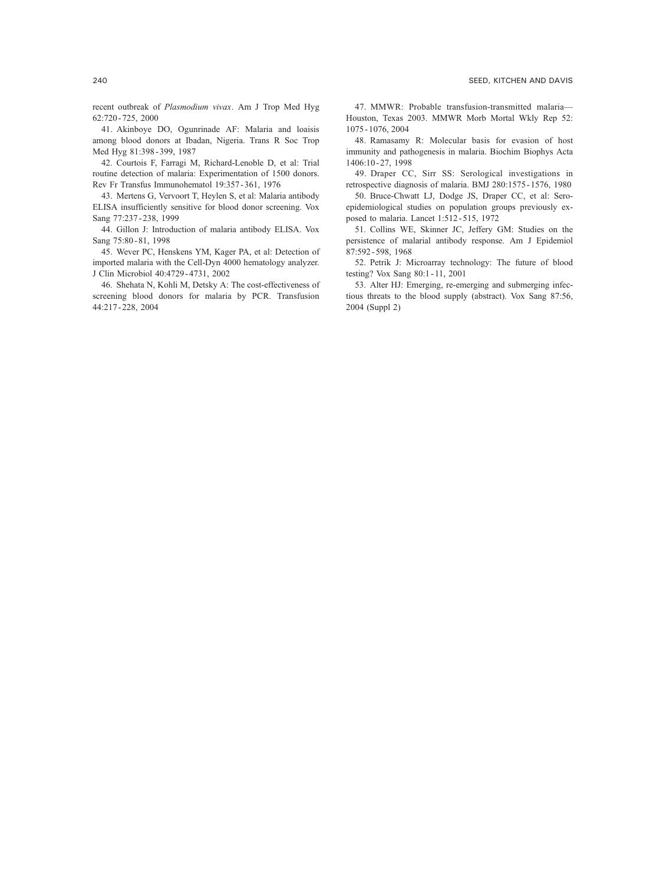<span id="page-11-0"></span>recent outbreak of Plasmodium vivax. Am J Trop Med Hyg 62:720 - 725, 2000

41. Akinboye DO, Ogunrinade AF: Malaria and loaisis among blood donors at Ibadan, Nigeria. Trans R Soc Trop Med Hyg 81:398 - 399, 1987

42. Courtois F, Farragi M, Richard-Lenoble D, et al: Trial routine detection of malaria: Experimentation of 1500 donors. Rev Fr Transfus Immunohematol 19:357 - 361, 1976

43. Mertens G, Vervoort T, Heylen S, et al: Malaria antibody ELISA insufficiently sensitive for blood donor screening. Vox Sang 77:237 - 238, 1999

44. Gillon J: Introduction of malaria antibody ELISA. Vox Sang 75:80 - 81, 1998

45. Wever PC, Henskens YM, Kager PA, et al: Detection of imported malaria with the Cell-Dyn 4000 hematology analyzer. J Clin Microbiol 40:4729 - 4731, 2002

46. Shehata N, Kohli M, Detsky A: The cost-effectiveness of screening blood donors for malaria by PCR. Transfusion 44:217 - 228, 2004

47. MMWR: Probable transfusion-transmitted malaria— Houston, Texas 2003. MMWR Morb Mortal Wkly Rep 52: 1075 - 1076, 2004

48. Ramasamy R: Molecular basis for evasion of host immunity and pathogenesis in malaria. Biochim Biophys Acta 1406:10 - 27, 1998

49. Draper CC, Sirr SS: Serological investigations in retrospective diagnosis of malaria. BMJ 280:1575 - 1576, 1980

50. Bruce-Chwatt LJ, Dodge JS, Draper CC, et al: Seroepidemiological studies on population groups previously exposed to malaria. Lancet 1:512 - 515, 1972

51. Collins WE, Skinner JC, Jeffery GM: Studies on the persistence of malarial antibody response. Am J Epidemiol 87:592 - 598, 1968

52. Petrik J: Microarray technology: The future of blood testing? Vox Sang 80:1 - 11, 2001

53. Alter HJ: Emerging, re-emerging and submerging infectious threats to the blood supply (abstract). Vox Sang 87:56, 2004 (Suppl 2)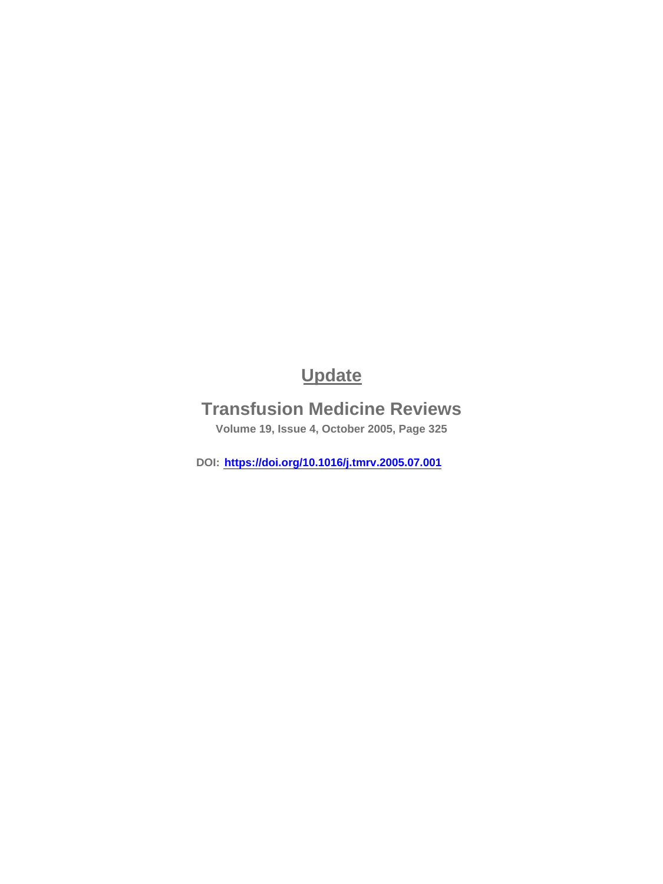# **Update**

# <span id="page-12-0"></span>**Transfusion Medicine Reviews**

**Volume 19, Issue 4, October 2005, Page 325**

**DOI: https://doi.org/10.1016/j.tmrv.2005.07.001**